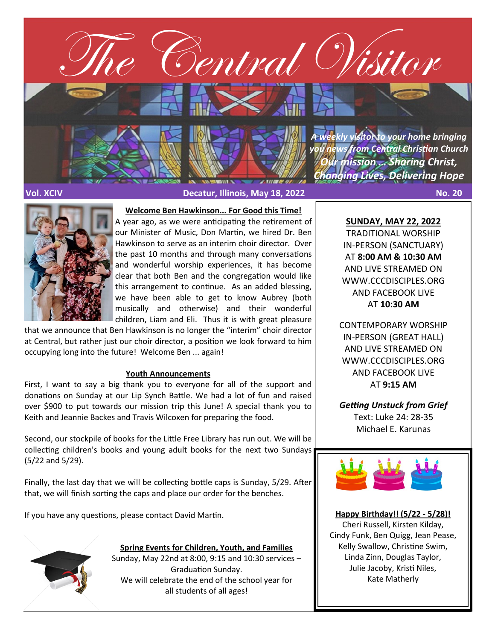

**Vol. XCIV Decatur, Illinois, May 18, 2022 No. 20**



**Welcome Ben Hawkinson... For Good this Time!** 

A year ago, as we were anticipating the retirement of our Minister of Music, Don Martin, we hired Dr. Ben Hawkinson to serve as an interim choir director. Over the past 10 months and through many conversations and wonderful worship experiences, it has become clear that both Ben and the congregation would like this arrangement to continue. As an added blessing, we have been able to get to know Aubrey (both musically and otherwise) and their wonderful children, Liam and Eli. Thus it is with great pleasure

that we announce that Ben Hawkinson is no longer the "interim" choir director at Central, but rather just our choir director, a position we look forward to him occupying long into the future! Welcome Ben ... again!

## **Youth Announcements**

First, I want to say a big thank you to everyone for all of the support and donations on Sunday at our Lip Synch Battle. We had a lot of fun and raised over \$900 to put towards our mission trip this June! A special thank you to Keith and Jeannie Backes and Travis Wilcoxen for preparing the food.

Second, our stockpile of books for the Little Free Library has run out. We will be collecting children's books and young adult books for the next two Sundays (5/22 and 5/29).

Finally, the last day that we will be collecting bottle caps is Sunday, 5/29. After that, we will finish sorting the caps and place our order for the benches.

If you have any questions, please contact David Martin.



**Spring Events for Children, Youth, and Families**

Sunday, May 22nd at 8:00, 9:15 and 10:30 services – Graduation Sunday. We will celebrate the end of the school year for all students of all ages!

**SUNDAY, MAY 22, 2022**

TRADITIONAL WORSHIP IN-PERSON (SANCTUARY) AT **8:00 AM & 10:30 AM**  AND LIVE STREAMED ON WWW.CCCDISCIPLES.ORG AND FACEBOOK LIVE AT **10:30 AM**

CONTEMPORARY WORSHIP IN-PERSON (GREAT HALL) AND LIVE STREAMED ON WWW.CCCDISCIPLES.ORG AND FACEBOOK LIVE AT **9:15 AM**

*Getting Unstuck from Grief* Text: Luke 24: 28-35 Michael E. Karunas



**Happy Birthday!! (5/22 - 5/28)!** Cheri Russell, Kirsten Kilday, Cindy Funk, Ben Quigg, Jean Pease, Kelly Swallow, Christine Swim, Linda Zinn, Douglas Taylor, Julie Jacoby, Kristi Niles, Kate Matherly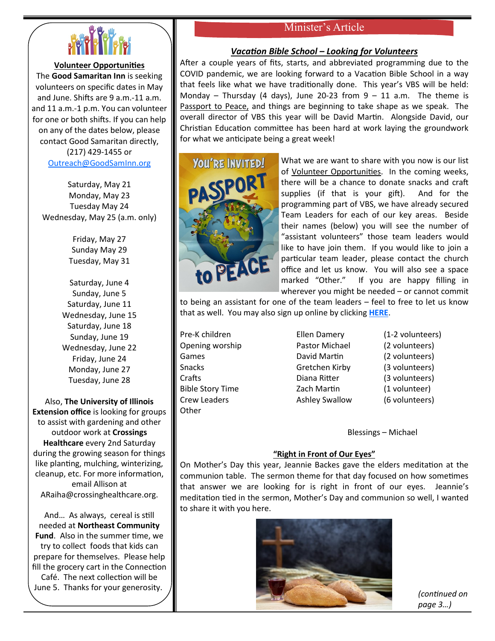

# **Volunteer Opportunities**

The **Good Samaritan Inn** is seeking volunteers on specific dates in May and June. Shifts are 9 a.m.-11 a.m. and 11 a.m.-1 p.m. You can volunteer for one or both shifts. If you can help on any of the dates below, please contact Good Samaritan directly, (217) 429-1455 or

[Outreach@GoodSamInn.org](mailto:Outreach@GoodSamInn.org)

Saturday, May 21 Monday, May 23 Tuesday May 24 Wednesday, May 25 (a.m. only)

> Friday, May 27 Sunday May 29 Tuesday, May 31

Saturday, June 4 Sunday, June 5 Saturday, June 11 Wednesday, June 15 Saturday, June 18 Sunday, June 19 Wednesday, June 22 Friday, June 24 Monday, June 27 Tuesday, June 28

Also, **The University of Illinois Extension office** is looking for groups to assist with gardening and other outdoor work at **Crossings Healthcare** every 2nd Saturday during the growing season for things like planting, mulching, winterizing, cleanup, etc. For more information, email Allison at ARaiha@crossinghealthcare.org.

And… As always, cereal is still needed at **Northeast Community Fund**. Also in the summer time, we try to collect foods that kids can prepare for themselves. Please help fill the grocery cart in the Connection Café. The next collection will be June 5. Thanks for your generosity.

# Minister's Article

## *Vacation Bible School – Looking for Volunteers*

After a couple years of fits, starts, and abbreviated programming due to the COVID pandemic, we are looking forward to a Vacation Bible School in a way that feels like what we have traditionally done. This year's VBS will be held: Monday – Thursday (4 days), June 20-23 from  $9 - 11$  a.m. The theme is Passport to Peace, and things are beginning to take shape as we speak. The overall director of VBS this year will be David Martin. Alongside David, our Christian Education committee has been hard at work laying the groundwork for what we anticipate being a great week!



What we are want to share with you now is our list of Volunteer Opportunities. In the coming weeks, there will be a chance to donate snacks and craft supplies (if that is your gift). And for the programming part of VBS, we have already secured Team Leaders for each of our key areas. Beside their names (below) you will see the number of "assistant volunteers" those team leaders would like to have join them. If you would like to join a particular team leader, please contact the church office and let us know. You will also see a space marked "Other." If you are happy filling in wherever you might be needed – or cannot commit

to being an assistant for one of the team leaders – feel to free to let us know that as well. You may also sign up online by clicking **[HERE](https://cccdisciples.shelbynextchms.com/external/form/b0cdfe5d-74d7-4750-8392-5389b38c1b2c)**.

Pre-K children Ellen Damery (1-2 volunteers) Opening worship Pastor Michael (2 volunteers) Games **David Martin** (2 volunteers) Snacks Gretchen Kirby (3 volunteers) Crafts Diana Ritter (3 volunteers) Bible Story Time Zach Martin (1 volunteer) Crew Leaders **Ashley Swallow** (6 volunteers) **Other** 

Blessings – Michael

## **"Right in Front of Our Eyes"**

On Mother's Day this year, Jeannie Backes gave the elders meditation at the communion table. The sermon theme for that day focused on how sometimes that answer we are looking for is right in front of our eyes. Jeannie's meditation tied in the sermon, Mother's Day and communion so well, I wanted to share it with you here.



*(continued on page 3…)*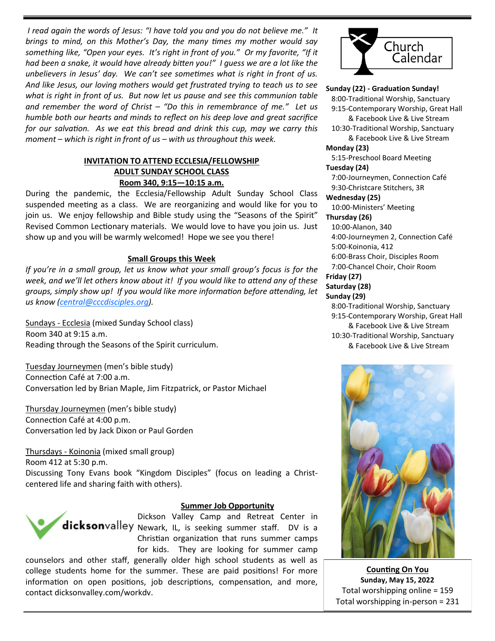*I read again the words of Jesus: "I have told you and you do not believe me." It brings to mind, on this Mother's Day, the many times my mother would say something like, "Open your eyes. It's right in front of you." Or my favorite, "If it had been a snake, it would have already bitten you!" I guess we are a lot like the unbelievers in Jesus' day. We can't see sometimes what is right in front of us. And like Jesus, our loving mothers would get frustrated trying to teach us to see what is right in front of us. But now let us pause and see this communion table and remember the word of Christ – "Do this in remembrance of me." Let us humble both our hearts and minds to reflect on his deep love and great sacrifice for our salvation. As we eat this bread and drink this cup, may we carry this moment – which is right in front of us – with us throughout this week.* 

# **INVITATION TO ATTEND ECCLESIA/FELLOWSHIP ADULT SUNDAY SCHOOL CLASS Room 340, 9:15—10:15 a.m.**

During the pandemic, the Ecclesia/Fellowship Adult Sunday School Class suspended meeting as a class. We are reorganizing and would like for you to join us. We enjoy fellowship and Bible study using the "Seasons of the Spirit" Revised Common Lectionary materials. We would love to have you join us. Just show up and you will be warmly welcomed! Hope we see you there!

## **Small Groups this Week**

*If you're in a small group, let us know what your small group's focus is for the week, and we'll let others know about it! If you would like to attend any of these groups, simply show up! If you would like more information before attending, let us know [\(central@cccdisciples.org\)](mailto:central@cccdisciples.org).* 

Sundays - Ecclesia (mixed Sunday School class) Room 340 at 9:15 a.m. Reading through the Seasons of the Spirit curriculum.

Tuesday Journeymen (men's bible study) Connection Café at 7:00 a.m. Conversation led by Brian Maple, Jim Fitzpatrick, or Pastor Michael

Thursday Journeymen (men's bible study) Connection Café at 4:00 p.m. Conversation led by Jack Dixon or Paul Gorden

Thursdays - Koinonia (mixed small group) Room 412 at 5:30 p.m. Discussing Tony Evans book "Kingdom Disciples" (focus on leading a Christcentered life and sharing faith with others).



## **Summer Job Opportunity**

Dickson Valley Camp and Retreat Center in dicksonvalley Newark, IL, is seeking summer staff. DV is a Christian organization that runs summer camps for kids. They are looking for summer camp

counselors and other staff, generally older high school students as well as college students home for the summer. These are paid positions! For more information on open positions, job descriptions, compensation, and more, contact dicksonvalley.com/workdv.



# **Sunday (22) - Graduation Sunday!**

 8:00-Traditional Worship, Sanctuary 9:15-Contemporary Worship, Great Hall

& Facebook Live & Live Stream

 10:30-Traditional Worship, Sanctuary & Facebook Live & Live Stream

# **Monday (23)**

 5:15-Preschool Board Meeting **Tuesday (24)**

 7:00-Journeymen, Connection Café 9:30-Christcare Stitchers, 3R

#### **Wednesday (25)**

10:00-Ministers' Meeting

# **Thursday (26)**

10:00-Alanon, 340

 4:00-Journeymen 2, Connection Café 5:00-Koinonia, 412

6:00-Brass Choir, Disciples Room

7:00-Chancel Choir, Choir Room

# **Friday (27)**

# **Saturday (28)**

#### **Sunday (29)**

 8:00-Traditional Worship, Sanctuary 9:15-Contemporary Worship, Great Hall & Facebook Live & Live Stream 10:30-Traditional Worship, Sanctuary & Facebook Live & Live Stream



**Counting On You Sunday, May 15, 2022** Total worshipping online = 159 Total worshipping in-person = 231